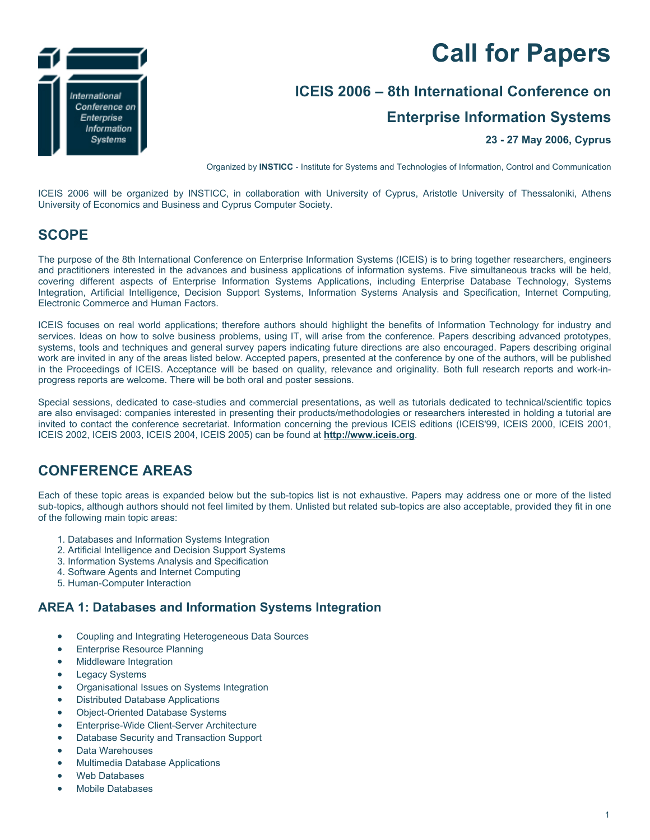# **Call for Papers**



# **ICEIS 2006 – 8th International Conference on**

# **Enterprise Information Systems**

#### **23 - 27 May 2006, Cyprus**

Organized by **INSTICC** - Institute for Systems and Technologies of Information, Control and Communication

ICEIS 2006 will be organized by INSTICC, in collaboration with University of Cyprus, Aristotle University of Thessaloniki, Athens University of Economics and Business and Cyprus Computer Society.

# **SCOPE**

The purpose of the 8th International Conference on Enterprise Information Systems (ICEIS) is to bring together researchers, engineers and practitioners interested in the advances and business applications of information systems. Five simultaneous tracks will be held, covering different aspects of Enterprise Information Systems Applications, including Enterprise Database Technology, Systems Integration, Artificial Intelligence, Decision Support Systems, Information Systems Analysis and Specification, Internet Computing, Electronic Commerce and Human Factors.

ICEIS focuses on real world applications; therefore authors should highlight the benefits of Information Technology for industry and services. Ideas on how to solve business problems, using IT, will arise from the conference. Papers describing advanced prototypes, systems, tools and techniques and general survey papers indicating future directions are also encouraged. Papers describing original work are invited in any of the areas listed below. Accepted papers, presented at the conference by one of the authors, will be published in the Proceedings of ICEIS. Acceptance will be based on quality, relevance and originality. Both full research reports and work-inprogress reports are welcome. There will be both oral and poster sessions.

Special sessions, dedicated to case-studies and commercial presentations, as well as tutorials dedicated to technical/scientific topics are also envisaged: companies interested in presenting their products/methodologies or researchers interested in holding a tutorial are invited to contact the conference secretariat. Information concerning the previous ICEIS editions (ICEIS'99, ICEIS 2000, ICEIS 2001, ICEIS 2002, ICEIS 2003, ICEIS 2004, ICEIS 2005) can be found at **http://www.iceis.org**.

# **CONFERENCE AREAS**

Each of these topic areas is expanded below but the sub-topics list is not exhaustive. Papers may address one or more of the listed sub-topics, although authors should not feel limited by them. Unlisted but related sub-topics are also acceptable, provided they fit in one of the following main topic areas:

- 1. Databases and Information Systems Integration
- 2. Artificial Intelligence and Decision Support Systems
- 3. Information Systems Analysis and Specification
- 4. Software Agents and Internet Computing
- 5. Human-Computer Interaction

#### **AREA 1: Databases and Information Systems Integration**

- Coupling and Integrating Heterogeneous Data Sources
- **Enterprise Resource Planning**
- Middleware Integration
- **Legacy Systems**
- Organisational Issues on Systems Integration
- Distributed Database Applications
- Object-Oriented Database Systems
- Enterprise-Wide Client-Server Architecture
- Database Security and Transaction Support
- Data Warehouses
- Multimedia Database Applications
- Web Databases
- Mobile Databases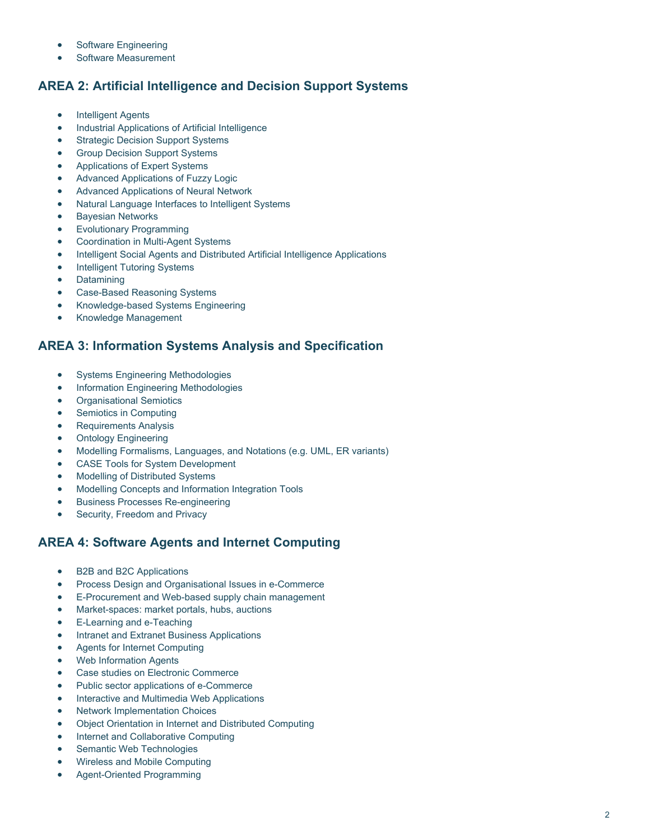- Software Engineering
- Software Measurement

#### **AREA 2: Artificial Intelligence and Decision Support Systems**

- **Intelligent Agents**
- Industrial Applications of Artificial Intelligence
- **Strategic Decision Support Systems**
- Group Decision Support Systems
- Applications of Expert Systems
- Advanced Applications of Fuzzy Logic
- Advanced Applications of Neural Network
- Natural Language Interfaces to Intelligent Systems
- **Bayesian Networks**
- Evolutionary Programming
- Coordination in Multi-Agent Systems
- Intelligent Social Agents and Distributed Artificial Intelligence Applications
- Intelligent Tutoring Systems
- **Datamining**
- Case-Based Reasoning Systems
- Knowledge-based Systems Engineering
- Knowledge Management

#### **AREA 3: Information Systems Analysis and Specification**

- Systems Engineering Methodologies
- Information Engineering Methodologies
- Organisational Semiotics
- Semiotics in Computing
- Requirements Analysis
- Ontology Engineering
- Modelling Formalisms, Languages, and Notations (e.g. UML, ER variants)
- CASE Tools for System Development
- Modelling of Distributed Systems
- Modelling Concepts and Information Integration Tools
- Business Processes Re-engineering
- Security, Freedom and Privacy

#### **AREA 4: Software Agents and Internet Computing**

- B2B and B2C Applications
- Process Design and Organisational Issues in e-Commerce
- E-Procurement and Web-based supply chain management
- Market-spaces: market portals, hubs, auctions
- E-Learning and e-Teaching
- Intranet and Extranet Business Applications
- Agents for Internet Computing
- Web Information Agents
- Case studies on Electronic Commerce
- Public sector applications of e-Commerce
- Interactive and Multimedia Web Applications
- Network Implementation Choices
- Object Orientation in Internet and Distributed Computing
- Internet and Collaborative Computing
- Semantic Web Technologies
- Wireless and Mobile Computing
- Agent-Oriented Programming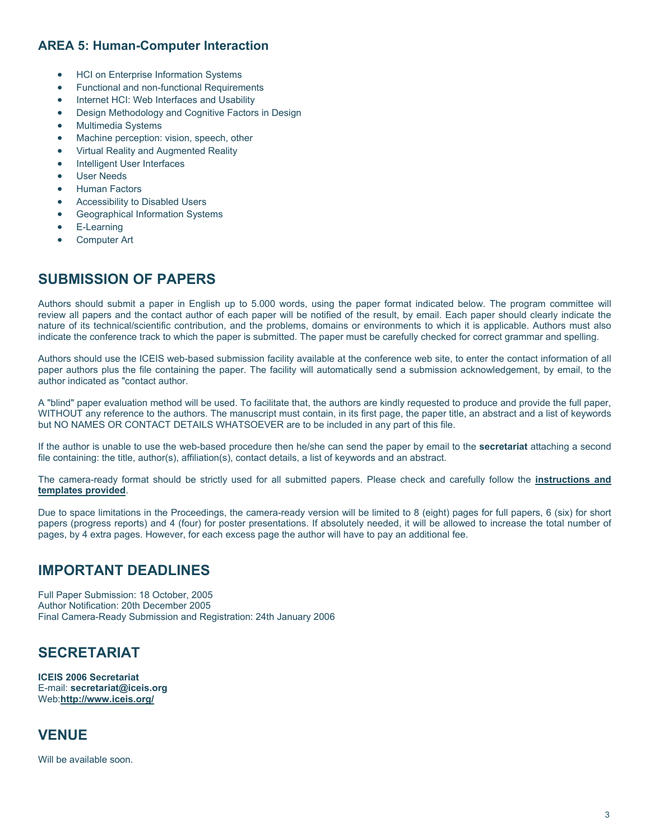## **AREA 5: Human-Computer Interaction**

- HCI on Enterprise Information Systems
- Functional and non-functional Requirements
- Internet HCI: Web Interfaces and Usability
- Design Methodology and Cognitive Factors in Design
- Multimedia Systems
- Machine perception: vision, speech, other
- Virtual Reality and Augmented Reality
- Intelligent User Interfaces
- User Needs
- Human Factors
- Accessibility to Disabled Users
- Geographical Information Systems
- E-Learning
- Computer Art

# **SUBMISSION OF PAPERS**

Authors should submit a paper in English up to 5.000 words, using the paper format indicated below. The program committee will review all papers and the contact author of each paper will be notified of the result, by email. Each paper should clearly indicate the nature of its technical/scientific contribution, and the problems, domains or environments to which it is applicable. Authors must also indicate the conference track to which the paper is submitted. The paper must be carefully checked for correct grammar and spelling.

Authors should use the ICEIS web-based submission facility available at the conference web site, to enter the contact information of all paper authors plus the file containing the paper. The facility will automatically send a submission acknowledgement, by email, to the author indicated as "contact author.

A "blind" paper evaluation method will be used. To facilitate that, the authors are kindly requested to produce and provide the full paper, WITHOUT any reference to the authors. The manuscript must contain, in its first page, the paper title, an abstract and a list of keywords but NO NAMES OR CONTACT DETAILS WHATSOEVER are to be included in any part of this file.

If the author is unable to use the web-based procedure then he/she can send the paper by email to the **secretariat** attaching a second file containing: the title, author(s), affiliation(s), contact details, a list of keywords and an abstract.

The camera-ready format should be strictly used for all submitted papers. Please check and carefully follow the **instructions and templates provided**.

Due to space limitations in the Proceedings, the camera-ready version will be limited to 8 (eight) pages for full papers, 6 (six) for short papers (progress reports) and 4 (four) for poster presentations. If absolutely needed, it will be allowed to increase the total number of pages, by 4 extra pages. However, for each excess page the author will have to pay an additional fee.

# **IMPORTANT DEADLINES**

Full Paper Submission: 18 October, 2005 Author Notification: 20th December 2005 Final Camera-Ready Submission and Registration: 24th January 2006

# **SECRETARIAT**

**ICEIS 2006 Secretariat** E-mail: **secretariat@iceis.org** Web:**http://www.iceis.org/**

# **VENUE**

Will be available soon.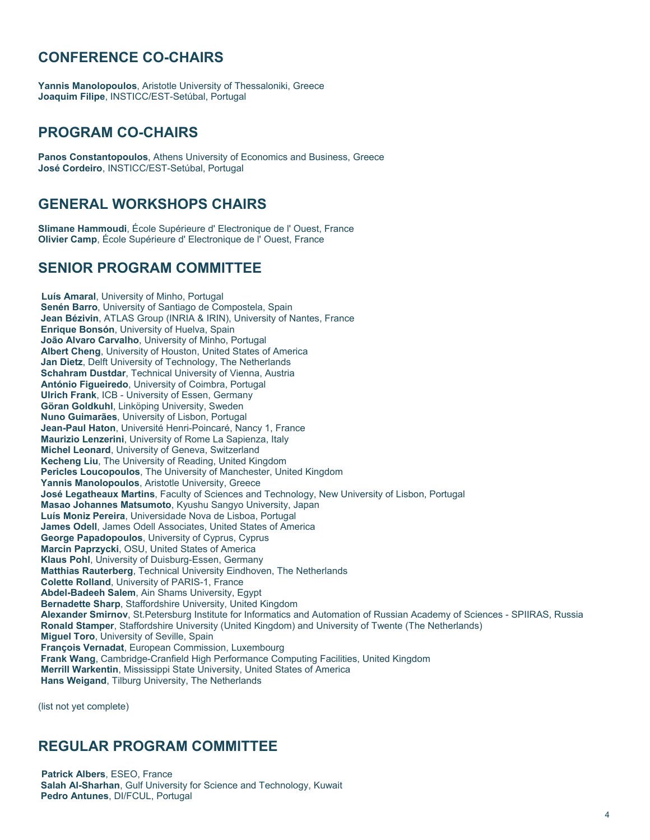# **CONFERENCE CO-CHAIRS**

**Yannis Manolopoulos**, Aristotle University of Thessaloniki, Greece **Joaquim Filipe**, INSTICC/EST-Setúbal, Portugal

## **PROGRAM CO-CHAIRS**

**Panos Constantopoulos**, Athens University of Economics and Business, Greece **José Cordeiro**, INSTICC/EST-Setúbal, Portugal

## **GENERAL WORKSHOPS CHAIRS**

**Slimane Hammoudi**, École Supérieure d' Electronique de l' Ouest, France **Olivier Camp**, École Supérieure d' Electronique de l' Ouest, France

#### **SENIOR PROGRAM COMMITTEE**

**Luís Amaral**, University of Minho, Portugal **Senén Barro**, University of Santiago de Compostela, Spain **Jean Bézivin**, ATLAS Group (INRIA & IRIN), University of Nantes, France **Enrique Bonsón**, University of Huelva, Spain **João Alvaro Carvalho**, University of Minho, Portugal **Albert Cheng**, University of Houston, United States of America **Jan Dietz**, Delft University of Technology, The Netherlands **Schahram Dustdar**, Technical University of Vienna, Austria **António Figueiredo**, University of Coimbra, Portugal **Ulrich Frank**, ICB - University of Essen, Germany **Göran Goldkuhl**, Linköping University, Sweden **Nuno Guimarães**, University of Lisbon, Portugal **Jean-Paul Haton**, Université Henri-Poincaré, Nancy 1, France **Maurizio Lenzerini**, University of Rome La Sapienza, Italy **Michel Leonard**, University of Geneva, Switzerland **Kecheng Liu**, The University of Reading, United Kingdom **Pericles Loucopoulos**, The University of Manchester, United Kingdom **Yannis Manolopoulos**, Aristotle University, Greece **José Legatheaux Martins**, Faculty of Sciences and Technology, New University of Lisbon, Portugal **Masao Johannes Matsumoto**, Kyushu Sangyo University, Japan **Luís Moniz Pereira**, Universidade Nova de Lisboa, Portugal **James Odell**, James Odell Associates, United States of America **George Papadopoulos**, University of Cyprus, Cyprus **Marcin Paprzycki**, OSU, United States of America **Klaus Pohl**, University of Duisburg-Essen, Germany **Matthias Rauterberg**, Technical University Eindhoven, The Netherlands **Colette Rolland**, University of PARIS-1, France **Abdel-Badeeh Salem**, Ain Shams University, Egypt **Bernadette Sharp**, Staffordshire University, United Kingdom **Alexander Smirnov**, St.Petersburg Institute for Informatics and Automation of Russian Academy of Sciences - SPIIRAS, Russia **Ronald Stamper**, Staffordshire University (United Kingdom) and University of Twente (The Netherlands) **Miguel Toro**, University of Seville, Spain **François Vernadat**, European Commission, Luxembourg **Frank Wang**, Cambridge-Cranfield High Performance Computing Facilities, United Kingdom **Merrill Warkentin**, Mississippi State University, United States of America **Hans Weigand**, Tilburg University, The Netherlands

(list not yet complete)

# **REGULAR PROGRAM COMMITTEE**

**Patrick Albers**, ESEO, France **Salah Al-Sharhan**, Gulf University for Science and Technology, Kuwait **Pedro Antunes**, DI/FCUL, Portugal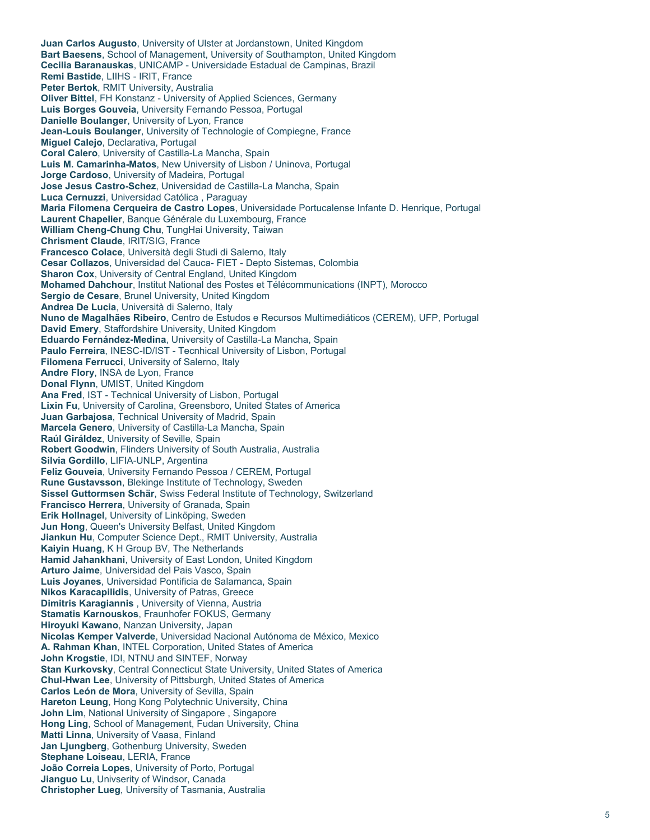**Juan Carlos Augusto**, University of Ulster at Jordanstown, United Kingdom **Bart Baesens**, School of Management, University of Southampton, United Kingdom **Cecilia Baranauskas**, UNICAMP - Universidade Estadual de Campinas, Brazil **Remi Bastide**, LIIHS - IRIT, France **Peter Bertok**, RMIT University, Australia **Oliver Bittel**, FH Konstanz - University of Applied Sciences, Germany **Luis Borges Gouveia**, University Fernando Pessoa, Portugal **Danielle Boulanger**, University of Lyon, France **Jean-Louis Boulanger**, University of Technologie of Compiegne, France **Miguel Calejo**, Declarativa, Portugal **Coral Calero**, University of Castilla-La Mancha, Spain **Luis M. Camarinha-Matos**, New University of Lisbon / Uninova, Portugal **Jorge Cardoso**, University of Madeira, Portugal **Jose Jesus Castro-Schez**, Universidad de Castilla-La Mancha, Spain **Luca Cernuzzi**, Universidad Católica , Paraguay **Maria Filomena Cerqueira de Castro Lopes**, Universidade Portucalense Infante D. Henrique, Portugal **Laurent Chapelier**, Banque Générale du Luxembourg, France **William Cheng-Chung Chu**, TungHai University, Taiwan **Chrisment Claude**, IRIT/SIG, France **Francesco Colace**, Università degli Studi di Salerno, Italy **Cesar Collazos**, Universidad del Cauca- FIET - Depto Sistemas, Colombia **Sharon Cox**, University of Central England, United Kingdom **Mohamed Dahchour**, Institut National des Postes et Télécommunications (INPT), Morocco **Sergio de Cesare**, Brunel University, United Kingdom **Andrea De Lucia**, Università di Salerno, Italy **Nuno de Magalhães Ribeiro**, Centro de Estudos e Recursos Multimediáticos (CEREM), UFP, Portugal **David Emery**, Staffordshire University, United Kingdom **Eduardo Fernández-Medina**, University of Castilla-La Mancha, Spain **Paulo Ferreira**, INESC-ID/IST - Tecnhical University of Lisbon, Portugal **Filomena Ferrucci**, University of Salerno, Italy **Andre Flory**, INSA de Lyon, France **Donal Flynn**, UMIST, United Kingdom **Ana Fred**, IST - Technical University of Lisbon, Portugal **Lixin Fu**, University of Carolina, Greensboro, United States of America **Juan Garbajosa**, Technical University of Madrid, Spain **Marcela Genero**, University of Castilla-La Mancha, Spain **Raúl Giráldez**, University of Seville, Spain **Robert Goodwin**, Flinders University of South Australia, Australia **Silvia Gordillo**, LIFIA-UNLP, Argentina **Feliz Gouveia**, University Fernando Pessoa / CEREM, Portugal **Rune Gustavsson**, Blekinge Institute of Technology, Sweden **Sissel Guttormsen Schär**, Swiss Federal Institute of Technology, Switzerland **Francisco Herrera**, University of Granada, Spain **Erik Hollnagel**, University of Linköping, Sweden **Jun Hong**, Queen's University Belfast, United Kingdom **Jiankun Hu**, Computer Science Dept., RMIT University, Australia **Kaiyin Huang**, K H Group BV, The Netherlands **Hamid Jahankhani**, University of East London, United Kingdom **Arturo Jaime**, Universidad del Pais Vasco, Spain **Luis Joyanes**, Universidad Pontificia de Salamanca, Spain **Nikos Karacapilidis**, University of Patras, Greece **Dimitris Karagiannis** , University of Vienna, Austria **Stamatis Karnouskos**, Fraunhofer FOKUS, Germany **Hiroyuki Kawano**, Nanzan University, Japan **Nicolas Kemper Valverde**, Universidad Nacional Autónoma de México, Mexico **A. Rahman Khan**, INTEL Corporation, United States of America **John Krogstie**, IDI, NTNU and SINTEF, Norway **Stan Kurkovsky**, Central Connecticut State University, United States of America **Chul-Hwan Lee**, University of Pittsburgh, United States of America **Carlos León de Mora**, University of Sevilla, Spain **Hareton Leung**, Hong Kong Polytechnic University, China **John Lim**, National University of Singapore , Singapore **Hong Ling**, School of Management, Fudan University, China **Matti Linna**, University of Vaasa, Finland **Jan Ljungberg**, Gothenburg University, Sweden **Stephane Loiseau**, LERIA, France **João Correia Lopes**, University of Porto, Portugal **Jianguo Lu**, Univserity of Windsor, Canada **Christopher Lueg**, University of Tasmania, Australia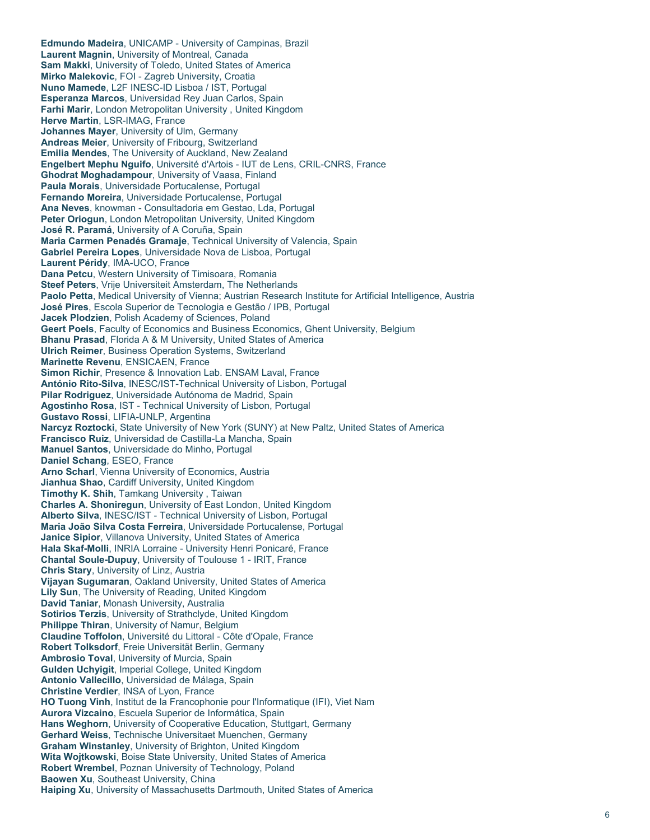**Edmundo Madeira**, UNICAMP - University of Campinas, Brazil **Laurent Magnin**, University of Montreal, Canada **Sam Makki**, University of Toledo, United States of America **Mirko Malekovic**, FOI - Zagreb University, Croatia **Nuno Mamede**, L2F INESC-ID Lisboa / IST, Portugal **Esperanza Marcos**, Universidad Rey Juan Carlos, Spain **Farhi Marir**, London Metropolitan University , United Kingdom **Herve Martin**, LSR-IMAG, France **Johannes Mayer**, University of Ulm, Germany **Andreas Meier**, University of Fribourg, Switzerland **Emilia Mendes**, The University of Auckland, New Zealand **Engelbert Mephu Nguifo**, Université d'Artois - IUT de Lens, CRIL-CNRS, France **Ghodrat Moghadampour**, University of Vaasa, Finland **Paula Morais**, Universidade Portucalense, Portugal **Fernando Moreira**, Universidade Portucalense, Portugal **Ana Neves**, knowman - Consultadoria em Gestao, Lda, Portugal **Peter Oriogun**, London Metropolitan University, United Kingdom **José R. Paramá**, University of A Coruña, Spain **Maria Carmen Penadés Gramaje**, Technical University of Valencia, Spain **Gabriel Pereira Lopes**, Universidade Nova de Lisboa, Portugal **Laurent Péridy**, IMA-UCO, France **Dana Petcu**, Western University of Timisoara, Romania **Steef Peters**, Vrije Universiteit Amsterdam, The Netherlands **Paolo Petta**, Medical University of Vienna; Austrian Research Institute for Artificial Intelligence, Austria **José Pires**, Escola Superior de Tecnologia e Gestão / IPB, Portugal **Jacek Plodzien**, Polish Academy of Sciences, Poland **Geert Poels**, Faculty of Economics and Business Economics, Ghent University, Belgium **Bhanu Prasad**, Florida A & M University, United States of America **Ulrich Reimer**, Business Operation Systems, Switzerland **Marinette Revenu**, ENSICAEN, France **Simon Richir**, Presence & Innovation Lab. ENSAM Laval, France **António Rito-Silva**, INESC/IST-Technical University of Lisbon, Portugal **Pilar Rodriguez**, Universidade Autónoma de Madrid, Spain **Agostinho Rosa**, IST - Technical University of Lisbon, Portugal **Gustavo Rossi**, LIFIA-UNLP, Argentina **Narcyz Roztocki**, State University of New York (SUNY) at New Paltz, United States of America **Francisco Ruiz**, Universidad de Castilla-La Mancha, Spain **Manuel Santos**, Universidade do Minho, Portugal **Daniel Schang**, ESEO, France **Arno Scharl**, Vienna University of Economics, Austria **Jianhua Shao**, Cardiff University, United Kingdom **Timothy K. Shih**, Tamkang University , Taiwan **Charles A. Shoniregun**, University of East London, United Kingdom **Alberto Silva**, INESC/IST - Technical University of Lisbon, Portugal **Maria João Silva Costa Ferreira**, Universidade Portucalense, Portugal **Janice Sipior**, Villanova University, United States of America **Hala Skaf-Molli**, INRIA Lorraine - University Henri Ponicaré, France **Chantal Soule-Dupuy**, University of Toulouse 1 - IRIT, France **Chris Stary**, University of Linz, Austria **Vijayan Sugumaran**, Oakland University, United States of America **Lily Sun**, The University of Reading, United Kingdom **David Taniar**, Monash University, Australia **Sotirios Terzis**, University of Strathclyde, United Kingdom **Philippe Thiran**, University of Namur, Belgium **Claudine Toffolon**, Université du Littoral - Côte d'Opale, France **Robert Tolksdorf**, Freie Universität Berlin, Germany **Ambrosio Toval**, University of Murcia, Spain **Gulden Uchyigit**, Imperial College, United Kingdom **Antonio Vallecillo**, Universidad de Málaga, Spain **Christine Verdier**, INSA of Lyon, France **HO Tuong Vinh**, Institut de la Francophonie pour l'Informatique (IFI), Viet Nam **Aurora Vizcaino**, Escuela Superior de Informática, Spain **Hans Weghorn**, University of Cooperative Education, Stuttgart, Germany **Gerhard Weiss**, Technische Universitaet Muenchen, Germany **Graham Winstanley**, University of Brighton, United Kingdom **Wita Wojtkowski**, Boise State University, United States of America **Robert Wrembel**, Poznan University of Technology, Poland **Baowen Xu**, Southeast University, China **Haiping Xu**, University of Massachusetts Dartmouth, United States of America